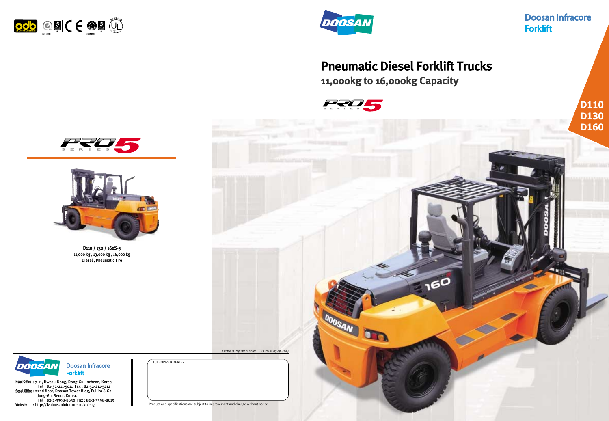# Pneumatic Diesel Forklift Trucks

Head Office : 7-11, Hwasu-Dong, Dong-Gu, Incheon, Korea. Tel : 82-32-211-5011 Fax : 82-32-211-5412 Seoul Office : 22nd floor, Doosan Tower Bldg, Euljiro 6-Ga Jung-Gu, Seoul, Korea. Tel : 82-2-3398-8630 Fax : 82-2-3398-8619 Web site : http://iv.doosaninfracore.co.kr/eng

11,000kg to 16,000kg Capacity







AUTHORIZED DEALER

**Doosan Infracore** DOOSAN **Forklift** 

Product and specifications are subject to improvement and change without notice.

# **Doosan Infracore Forklift**







**D110**

D110 / 130 / 160S-5 11,000 kg , 13,000 kg , 16,000 kg Diesel , Pneumatic Tire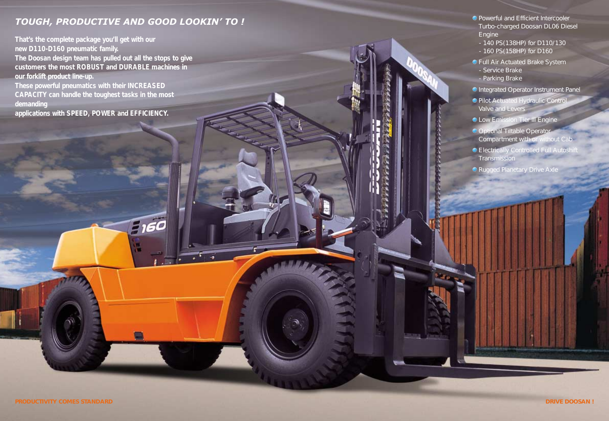## *TOUGH, PRODUCTIVE AND GOOD LOOKIN' TO !*

 $5,60$ 

**That's the complete package you'll get with our new D110-D160 pneumatic family. The Doosan design team has pulled out all the stops to give customers the most ROBUST and DURABLE machines in our forklift product line-up. These powerful pneumatics with their INCREASED CAPACITY can handle the toughest tasks in the most demanding applications with SPEED, POWER and EFFICIENCY.**

- Powerful and Efficient Intercooler Turbo-charged Doosan DL06 Diesel Engine
- 140 PS(138HP) for D110/130
- 160 PS(158HP) for D160
- Full Air Actuated Brake System - Service Brake
	- Parking Brake
- Integrated Operator Instrument Panel
- Pilot Actuated Hydraulic Control Valve and Levers
- **C** Low Emission Tier III Engine
- Optional Tiltable Operator Compartment with or without Cab
- Electrically Controlled Full Autoshift **Transmission**
- Rugged Planetary Drive Axle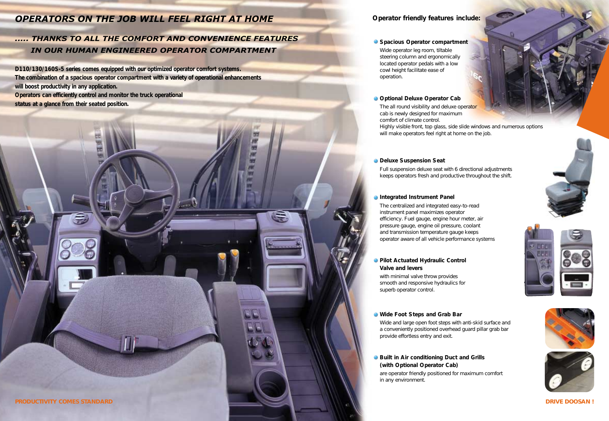## *OPERATORS ON THE JOB WILL FEEL RIGHT AT HOME*

## *..... THANKS TO ALL THE COMFORT AND CONVENIENCE FEATURES IN OUR HUMAN ENGINEERED OPERATOR COMPARTMENT*

**D110/130/160S-5 series comes equipped with our optimized operator comfort systems. The combination of a spacious operator compartment with a variety of operational enhancements will boost productivity in any application. Operators can efficiently control and monitor the truck operational status at a glance from their seated position.**

- **Wide Foot Steps and Grab Bar** Wide and large open foot steps with anti-skid surface and a conveniently positioned overhead guard pillar grab bar provide effortless entry and exit.
- **Built in Air conditioning Duct and Grills (with Optional Operator Cab)** are operator friendly positioned for maximum comfort in any environment.









## **Operator friendly features include:**

#### **Spacious Operator compartment**

Wide operator leg room, tiltable steering column and ergonomically located operator pedals with a low cowl height facilitate ease of operation.

### **C** Optional Deluxe Operator Cab

The all round visibility and deluxe operator cab is newly designed for maximum comfort of climate control. Highly visible front, top glass, side slide windows and numerous options will make operators feel right at home on the job.

#### **Deluxe Suspension Seat**

Full suspension deluxe seat with 6 directional adjustments keeps operators fresh and productive throughout the shift.

#### **Integrated Instrument Panel**

The centralized and integrated easy-to-read instrument panel maximizes operator efficiency. Fuel gauge, engine hour meter, air pressure gauge, engine oil pressure, coolant and transmission temperature gauge keeps operator aware of all vehicle performance systems

#### **Pilot Actuated Hydraulic Control Valve and levers**

with minimal valve throw provides smooth and responsive hydraulics for superb operator control.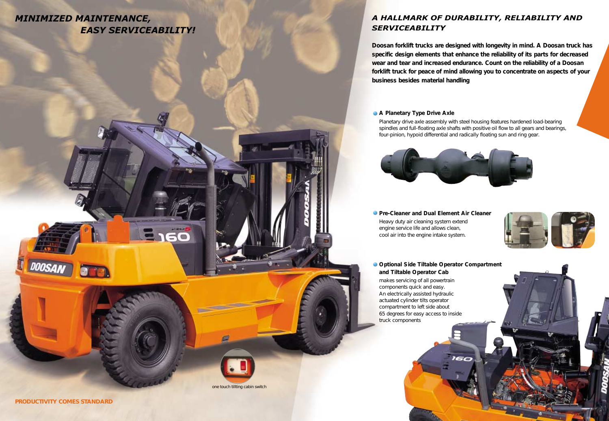## *MINIMIZED MAINTENANCE, EASY SERVICEABILITY!*

**Doosan forklift trucks are designed with longevity in mind. A Doosan truck has specific design elements that enhance the reliability of its parts for decreased wear and tear and increased endurance. Count on the reliability of a Doosan forklift truck for peace of mind allowing you to concentrate on aspects of your business besides material handling**

**A Planetary Type Drive Axle** Planetary drive axle assembly with steel housing features hardened load-bearing spindles and full-floating axle shafts with positive oil flow to all gears and bearings, four-pinion, hypoid differential and radically floating sun and ring gear.



**Pre-Cleaner and Dual Element Air Cleaner** Heavy duty air cleaning system extend engine service life and allows clean, cool air into the engine intake system.

## *A HALLMARK OF DURABILITY, RELIABILITY AND SERVICEABILITY*



**PRODUCTIVITY COMES STANDARD** 

DOOSA

**and Tiltable Operator Cab** makes servicing of all powertrain components quick and easy. An electrically assisted hydraulic actuated cylinder tilts operator compartment to left side about 65 degrees for easy access to inside truck components

one touch tillting cabin switch

3160

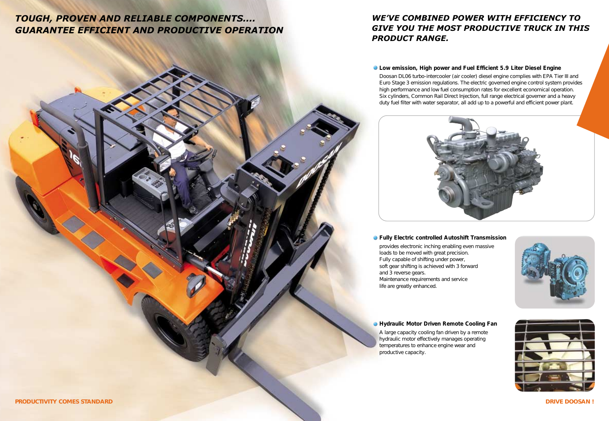## *TOUGH, PROVEN AND RELIABLE COMPONENTS.... GUARANTEE EFFICIENT AND PRODUCTIVE OPERATION*

## *WE'VE COMBINED POWER WITH EFFICIENCY TO GIVE YOU THE MOST PRODUCTIVE TRUCK IN THIS*







**Low emission, High power and Fuel Efficient 5.9 Liter Diesel Engine**  Doosan DL06 turbo-intercooler (air cooler) diesel engine complies with EPA Tier III and Euro Stage 3 emission regulations. The electric governed engine control system provides high performance and low fuel consumption rates for excellent economical operation. Six cylinders, Common Rail Direct Injection, full range electrical governer and a heavy duty fuel filter with water separator, all add up to a powerful and efficient power plant.



**Fully Electric controlled Autoshift Transmission** provides electronic inching enabling even massive loads to be moved with great precision. Fully capable of shifting under power, soft gear shifting is achieved with 3 forward and 3 reverse gears. Maintenance requirements and service life are greatly enhanced.

### **Hydraulic Motor Driven Remote Cooling Fan**

A large capacity cooling fan driven by a remote hydraulic motor effectively manages operating temperatures to enhance engine wear and productive capacity.